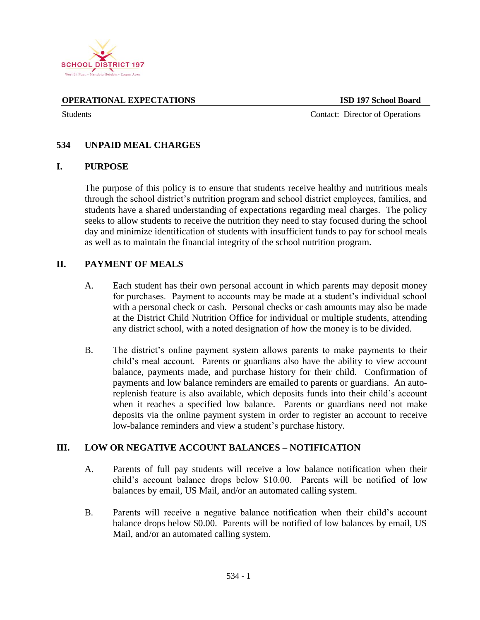

**OPERATIONAL EXPECTATIONS ISD 197 School Board**

Students Contact: Director of Operations

### **534 UNPAID MEAL CHARGES**

#### **I. PURPOSE**

The purpose of this policy is to ensure that students receive healthy and nutritious meals through the school district's nutrition program and school district employees, families, and students have a shared understanding of expectations regarding meal charges. The policy seeks to allow students to receive the nutrition they need to stay focused during the school day and minimize identification of students with insufficient funds to pay for school meals as well as to maintain the financial integrity of the school nutrition program.

#### **II. PAYMENT OF MEALS**

- A. Each student has their own personal account in which parents may deposit money for purchases. Payment to accounts may be made at a student's individual school with a personal check or cash. Personal checks or cash amounts may also be made at the District Child Nutrition Office for individual or multiple students, attending any district school, with a noted designation of how the money is to be divided.
- B. The district's online payment system allows parents to make payments to their child's meal account. Parents or guardians also have the ability to view account balance, payments made, and purchase history for their child. Confirmation of payments and low balance reminders are emailed to parents or guardians. An autoreplenish feature is also available, which deposits funds into their child's account when it reaches a specified low balance. Parents or guardians need not make deposits via the online payment system in order to register an account to receive low-balance reminders and view a student's purchase history.

#### **III. LOW OR NEGATIVE ACCOUNT BALANCES – NOTIFICATION**

- A. Parents of full pay students will receive a low balance notification when their child's account balance drops below \$10.00. Parents will be notified of low balances by email, US Mail, and/or an automated calling system.
- B. Parents will receive a negative balance notification when their child's account balance drops below \$0.00. Parents will be notified of low balances by email, US Mail, and/or an automated calling system.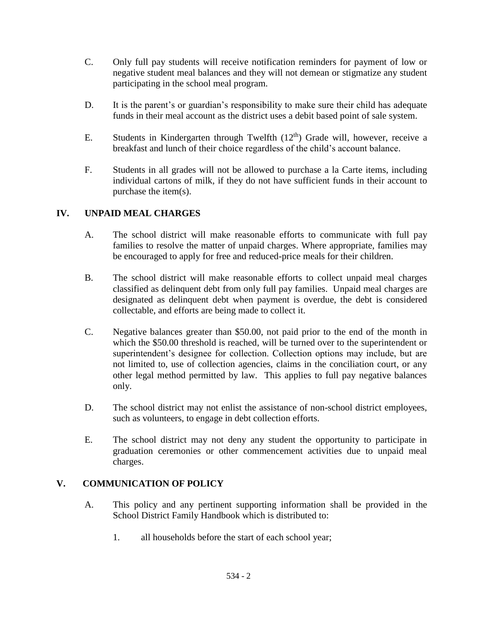- C. Only full pay students will receive notification reminders for payment of low or negative student meal balances and they will not demean or stigmatize any student participating in the school meal program.
- D. It is the parent's or guardian's responsibility to make sure their child has adequate funds in their meal account as the district uses a debit based point of sale system.
- E. Students in Kindergarten through Twelfth  $(12<sup>th</sup>)$  Grade will, however, receive a breakfast and lunch of their choice regardless of the child's account balance.
- F. Students in all grades will not be allowed to purchase a la Carte items, including individual cartons of milk, if they do not have sufficient funds in their account to purchase the item(s).

# **IV. UNPAID MEAL CHARGES**

- A. The school district will make reasonable efforts to communicate with full pay families to resolve the matter of unpaid charges. Where appropriate, families may be encouraged to apply for free and reduced-price meals for their children.
- B. The school district will make reasonable efforts to collect unpaid meal charges classified as delinquent debt from only full pay families. Unpaid meal charges are designated as delinquent debt when payment is overdue, the debt is considered collectable, and efforts are being made to collect it.
- C. Negative balances greater than \$50.00, not paid prior to the end of the month in which the \$50.00 threshold is reached, will be turned over to the superintendent or superintendent's designee for collection. Collection options may include, but are not limited to, use of collection agencies, claims in the conciliation court, or any other legal method permitted by law. This applies to full pay negative balances only.
- D. The school district may not enlist the assistance of non-school district employees, such as volunteers, to engage in debt collection efforts.
- E. The school district may not deny any student the opportunity to participate in graduation ceremonies or other commencement activities due to unpaid meal charges.

## **V. COMMUNICATION OF POLICY**

- A. This policy and any pertinent supporting information shall be provided in the School District Family Handbook which is distributed to:
	- 1. all households before the start of each school year;